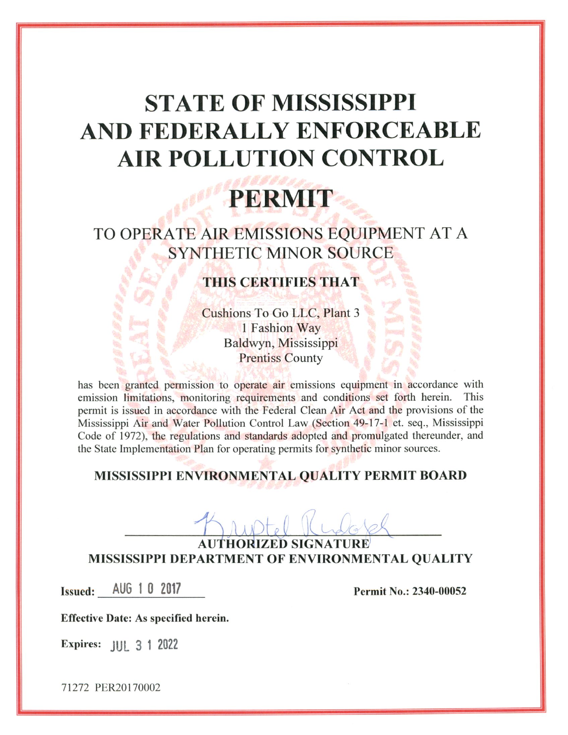# **STATE OF MISSISSIPPI** AND FEDERALLY ENFORCEABLE **AIR POLLUTION CONTROL**

# **PERMIT**

TO OPERATE AIR EMISSIONS EQUIPMENT AT A **SYNTHETIC MINOR SOURCE** 

# **THIS CERTIFIES THAT**

Cushions To Go LLC, Plant 3 1 Fashion Way Baldwyn, Mississippi **Prentiss County** 

has been granted permission to operate air emissions equipment in accordance with emission limitations, monitoring requirements and conditions set forth herein. This permit is issued in accordance with the Federal Clean Air Act and the provisions of the Mississippi Air and Water Pollution Control Law (Section 49-17-1 et. seq., Mississippi Code of 1972), the regulations and standards adopted and promulgated thereunder, and the State Implementation Plan for operating permits for synthetic minor sources.

# MISSISSIPPI ENVIRONMENTAL QUALITY PERMIT BOARD

AUTHORIZED SIGNATURE MISSISSIPPI DEPARTMENT OF ENVIRONMENTAL QUALITY

Issued: AUG 1 0 2017

Permit No.: 2340-00052

**Effective Date: As specified herein.** 

Expires: **JUL 3 1 2022**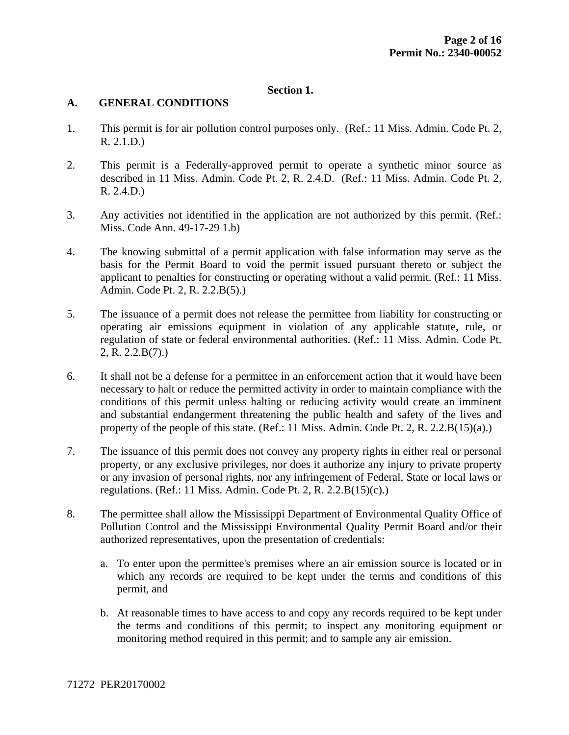## **Section 1.**

#### **A. GENERAL CONDITIONS**

- 1. This permit is for air pollution control purposes only. (Ref.: 11 Miss. Admin. Code Pt. 2, R. 2.1.D.)
- 2. This permit is a Federally-approved permit to operate a synthetic minor source as described in 11 Miss. Admin. Code Pt. 2, R. 2.4.D. (Ref.: 11 Miss. Admin. Code Pt. 2, R. 2.4.D.)
- 3. Any activities not identified in the application are not authorized by this permit. (Ref.: Miss. Code Ann. 49-17-29 1.b)
- 4. The knowing submittal of a permit application with false information may serve as the basis for the Permit Board to void the permit issued pursuant thereto or subject the applicant to penalties for constructing or operating without a valid permit. (Ref.: 11 Miss. Admin. Code Pt. 2, R. 2.2.B(5).)
- 5. The issuance of a permit does not release the permittee from liability for constructing or operating air emissions equipment in violation of any applicable statute, rule, or regulation of state or federal environmental authorities. (Ref.: 11 Miss. Admin. Code Pt. 2, R. 2.2.B(7).)
- 6. It shall not be a defense for a permittee in an enforcement action that it would have been necessary to halt or reduce the permitted activity in order to maintain compliance with the conditions of this permit unless halting or reducing activity would create an imminent and substantial endangerment threatening the public health and safety of the lives and property of the people of this state. (Ref.: 11 Miss. Admin. Code Pt. 2, R. 2.2. $B(15)(a)$ .)
- 7. The issuance of this permit does not convey any property rights in either real or personal property, or any exclusive privileges, nor does it authorize any injury to private property or any invasion of personal rights, nor any infringement of Federal, State or local laws or regulations. (Ref.: 11 Miss. Admin. Code Pt. 2, R. 2.2.B(15)(c).)
- 8. The permittee shall allow the Mississippi Department of Environmental Quality Office of Pollution Control and the Mississippi Environmental Quality Permit Board and/or their authorized representatives, upon the presentation of credentials:
	- a. To enter upon the permittee's premises where an air emission source is located or in which any records are required to be kept under the terms and conditions of this permit, and
	- b. At reasonable times to have access to and copy any records required to be kept under the terms and conditions of this permit; to inspect any monitoring equipment or monitoring method required in this permit; and to sample any air emission.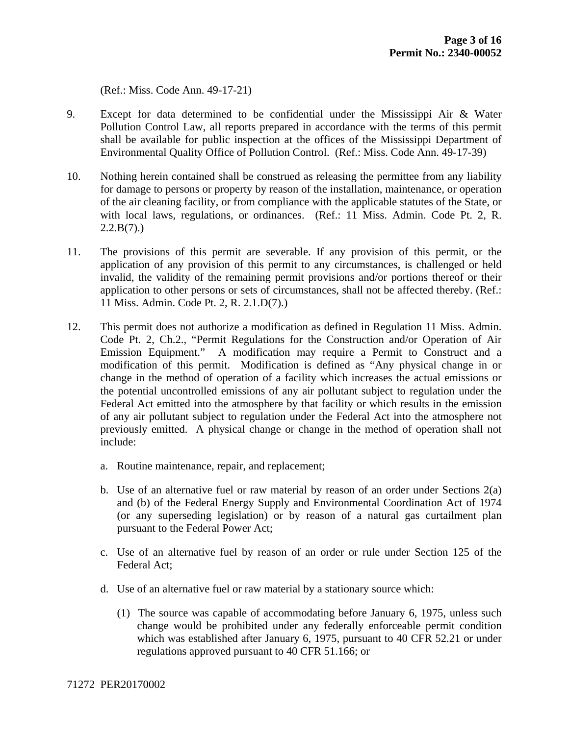(Ref.: Miss. Code Ann. 49-17-21)

- 9. Except for data determined to be confidential under the Mississippi Air & Water Pollution Control Law, all reports prepared in accordance with the terms of this permit shall be available for public inspection at the offices of the Mississippi Department of Environmental Quality Office of Pollution Control. (Ref.: Miss. Code Ann. 49-17-39)
- 10. Nothing herein contained shall be construed as releasing the permittee from any liability for damage to persons or property by reason of the installation, maintenance, or operation of the air cleaning facility, or from compliance with the applicable statutes of the State, or with local laws, regulations, or ordinances. (Ref.: 11 Miss. Admin. Code Pt. 2, R.  $2.2.B(7)$ .)
- 11. The provisions of this permit are severable. If any provision of this permit, or the application of any provision of this permit to any circumstances, is challenged or held invalid, the validity of the remaining permit provisions and/or portions thereof or their application to other persons or sets of circumstances, shall not be affected thereby. (Ref.: 11 Miss. Admin. Code Pt. 2, R. 2.1.D(7).)
- 12. This permit does not authorize a modification as defined in Regulation 11 Miss. Admin. Code Pt. 2, Ch.2., "Permit Regulations for the Construction and/or Operation of Air Emission Equipment." A modification may require a Permit to Construct and a modification of this permit. Modification is defined as "Any physical change in or change in the method of operation of a facility which increases the actual emissions or the potential uncontrolled emissions of any air pollutant subject to regulation under the Federal Act emitted into the atmosphere by that facility or which results in the emission of any air pollutant subject to regulation under the Federal Act into the atmosphere not previously emitted. A physical change or change in the method of operation shall not include:
	- a. Routine maintenance, repair, and replacement;
	- b. Use of an alternative fuel or raw material by reason of an order under Sections 2(a) and (b) of the Federal Energy Supply and Environmental Coordination Act of 1974 (or any superseding legislation) or by reason of a natural gas curtailment plan pursuant to the Federal Power Act;
	- c. Use of an alternative fuel by reason of an order or rule under Section 125 of the Federal Act;
	- d. Use of an alternative fuel or raw material by a stationary source which:
		- (1) The source was capable of accommodating before January 6, 1975, unless such change would be prohibited under any federally enforceable permit condition which was established after January 6, 1975, pursuant to 40 CFR 52.21 or under regulations approved pursuant to 40 CFR 51.166; or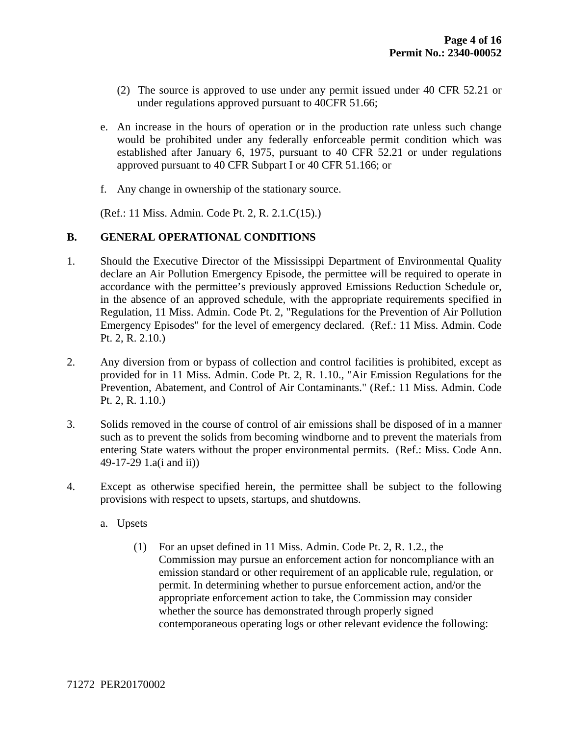- (2) The source is approved to use under any permit issued under 40 CFR 52.21 or under regulations approved pursuant to 40CFR 51.66;
- e. An increase in the hours of operation or in the production rate unless such change would be prohibited under any federally enforceable permit condition which was established after January 6, 1975, pursuant to 40 CFR 52.21 or under regulations approved pursuant to 40 CFR Subpart I or 40 CFR 51.166; or
- f. Any change in ownership of the stationary source.

(Ref.: 11 Miss. Admin. Code Pt. 2, R. 2.1.C(15).)

## **B. GENERAL OPERATIONAL CONDITIONS**

- 1. Should the Executive Director of the Mississippi Department of Environmental Quality declare an Air Pollution Emergency Episode, the permittee will be required to operate in accordance with the permittee's previously approved Emissions Reduction Schedule or, in the absence of an approved schedule, with the appropriate requirements specified in Regulation, 11 Miss. Admin. Code Pt. 2, "Regulations for the Prevention of Air Pollution Emergency Episodes" for the level of emergency declared. (Ref.: 11 Miss. Admin. Code Pt. 2, R. 2.10.)
- 2. Any diversion from or bypass of collection and control facilities is prohibited, except as provided for in 11 Miss. Admin. Code Pt. 2, R. 1.10., "Air Emission Regulations for the Prevention, Abatement, and Control of Air Contaminants." (Ref.: 11 Miss. Admin. Code Pt. 2, R. 1.10.)
- 3. Solids removed in the course of control of air emissions shall be disposed of in a manner such as to prevent the solids from becoming windborne and to prevent the materials from entering State waters without the proper environmental permits. (Ref.: Miss. Code Ann. 49-17-29 1.a(i and ii))
- 4. Except as otherwise specified herein, the permittee shall be subject to the following provisions with respect to upsets, startups, and shutdowns.
	- a. Upsets
		- (1) For an upset defined in 11 Miss. Admin. Code Pt. 2, R. 1.2., the Commission may pursue an enforcement action for noncompliance with an emission standard or other requirement of an applicable rule, regulation, or permit. In determining whether to pursue enforcement action, and/or the appropriate enforcement action to take, the Commission may consider whether the source has demonstrated through properly signed contemporaneous operating logs or other relevant evidence the following: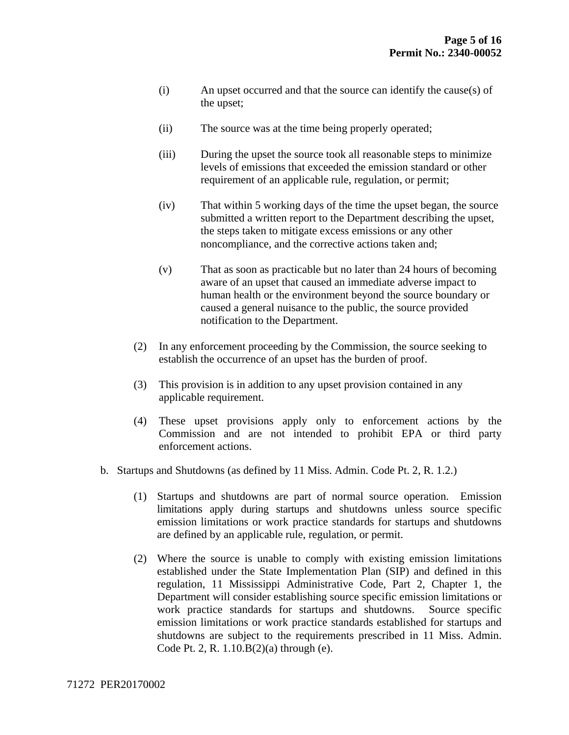- (i) An upset occurred and that the source can identify the cause(s) of the upset;
- (ii) The source was at the time being properly operated;
- (iii) During the upset the source took all reasonable steps to minimize levels of emissions that exceeded the emission standard or other requirement of an applicable rule, regulation, or permit;
- (iv) That within 5 working days of the time the upset began, the source submitted a written report to the Department describing the upset, the steps taken to mitigate excess emissions or any other noncompliance, and the corrective actions taken and;
- (v) That as soon as practicable but no later than 24 hours of becoming aware of an upset that caused an immediate adverse impact to human health or the environment beyond the source boundary or caused a general nuisance to the public, the source provided notification to the Department.
- (2) In any enforcement proceeding by the Commission, the source seeking to establish the occurrence of an upset has the burden of proof.
- (3) This provision is in addition to any upset provision contained in any applicable requirement.
- (4) These upset provisions apply only to enforcement actions by the Commission and are not intended to prohibit EPA or third party enforcement actions.
- b. Startups and Shutdowns (as defined by 11 Miss. Admin. Code Pt. 2, R. 1.2.)
	- (1) Startups and shutdowns are part of normal source operation. Emission limitations apply during startups and shutdowns unless source specific emission limitations or work practice standards for startups and shutdowns are defined by an applicable rule, regulation, or permit.
	- (2) Where the source is unable to comply with existing emission limitations established under the State Implementation Plan (SIP) and defined in this regulation, 11 Mississippi Administrative Code, Part 2, Chapter 1, the Department will consider establishing source specific emission limitations or work practice standards for startups and shutdowns. Source specific emission limitations or work practice standards established for startups and shutdowns are subject to the requirements prescribed in 11 Miss. Admin. Code Pt. 2, R. 1.10.B(2)(a) through (e).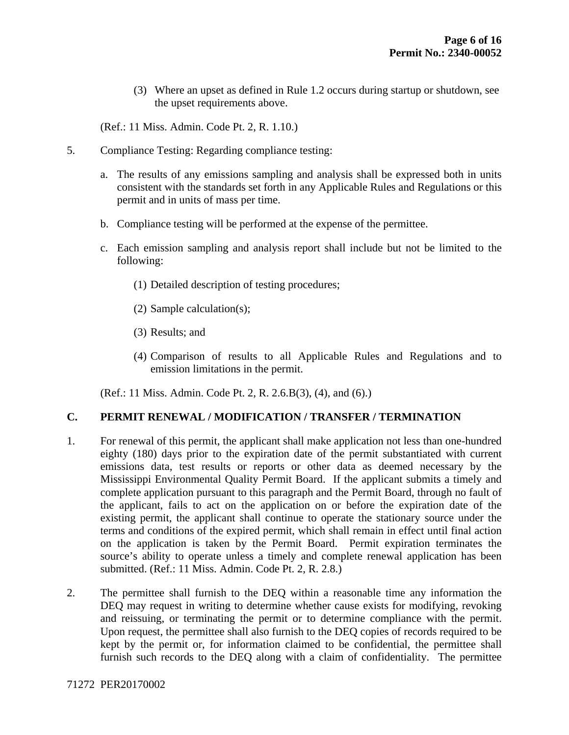(3) Where an upset as defined in Rule 1.2 occurs during startup or shutdown, see the upset requirements above.

(Ref.: 11 Miss. Admin. Code Pt. 2, R. 1.10.)

- 5. Compliance Testing: Regarding compliance testing:
	- a. The results of any emissions sampling and analysis shall be expressed both in units consistent with the standards set forth in any Applicable Rules and Regulations or this permit and in units of mass per time.
	- b. Compliance testing will be performed at the expense of the permittee.
	- c. Each emission sampling and analysis report shall include but not be limited to the following:
		- (1) Detailed description of testing procedures;
		- (2) Sample calculation(s);
		- (3) Results; and
		- (4) Comparison of results to all Applicable Rules and Regulations and to emission limitations in the permit.

(Ref.: 11 Miss. Admin. Code Pt. 2, R. 2.6.B(3), (4), and (6).)

#### **C. PERMIT RENEWAL / MODIFICATION / TRANSFER / TERMINATION**

- 1. For renewal of this permit, the applicant shall make application not less than one-hundred eighty (180) days prior to the expiration date of the permit substantiated with current emissions data, test results or reports or other data as deemed necessary by the Mississippi Environmental Quality Permit Board. If the applicant submits a timely and complete application pursuant to this paragraph and the Permit Board, through no fault of the applicant, fails to act on the application on or before the expiration date of the existing permit, the applicant shall continue to operate the stationary source under the terms and conditions of the expired permit, which shall remain in effect until final action on the application is taken by the Permit Board. Permit expiration terminates the source's ability to operate unless a timely and complete renewal application has been submitted. (Ref.: 11 Miss. Admin. Code Pt. 2, R. 2.8.)
- 2. The permittee shall furnish to the DEQ within a reasonable time any information the DEQ may request in writing to determine whether cause exists for modifying, revoking and reissuing, or terminating the permit or to determine compliance with the permit. Upon request, the permittee shall also furnish to the DEQ copies of records required to be kept by the permit or, for information claimed to be confidential, the permittee shall furnish such records to the DEQ along with a claim of confidentiality. The permittee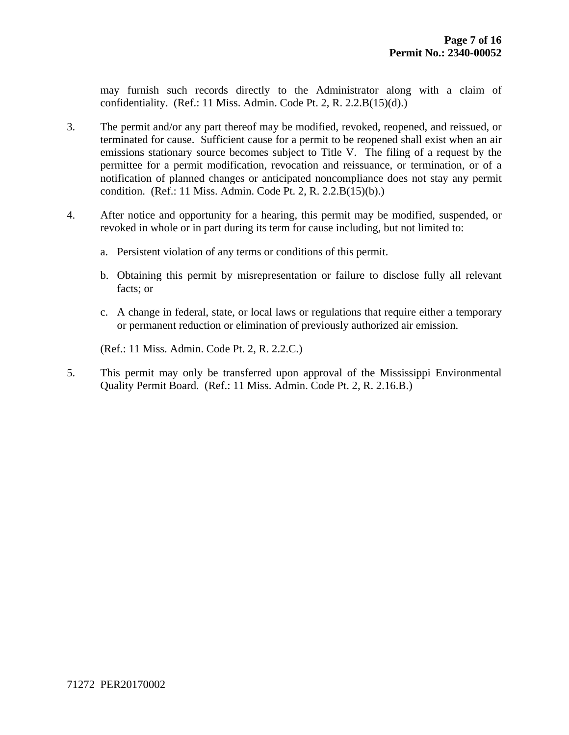may furnish such records directly to the Administrator along with a claim of confidentiality. (Ref.: 11 Miss. Admin. Code Pt. 2, R.  $2.2.B(15)(d)$ .)

- 3. The permit and/or any part thereof may be modified, revoked, reopened, and reissued, or terminated for cause. Sufficient cause for a permit to be reopened shall exist when an air emissions stationary source becomes subject to Title V. The filing of a request by the permittee for a permit modification, revocation and reissuance, or termination, or of a notification of planned changes or anticipated noncompliance does not stay any permit condition. (Ref.: 11 Miss. Admin. Code Pt. 2, R. 2.2.B(15)(b).)
- 4. After notice and opportunity for a hearing, this permit may be modified, suspended, or revoked in whole or in part during its term for cause including, but not limited to:
	- a. Persistent violation of any terms or conditions of this permit.
	- b. Obtaining this permit by misrepresentation or failure to disclose fully all relevant facts; or
	- c. A change in federal, state, or local laws or regulations that require either a temporary or permanent reduction or elimination of previously authorized air emission.

(Ref.: 11 Miss. Admin. Code Pt. 2, R. 2.2.C.)

5. This permit may only be transferred upon approval of the Mississippi Environmental Quality Permit Board. (Ref.: 11 Miss. Admin. Code Pt. 2, R. 2.16.B.)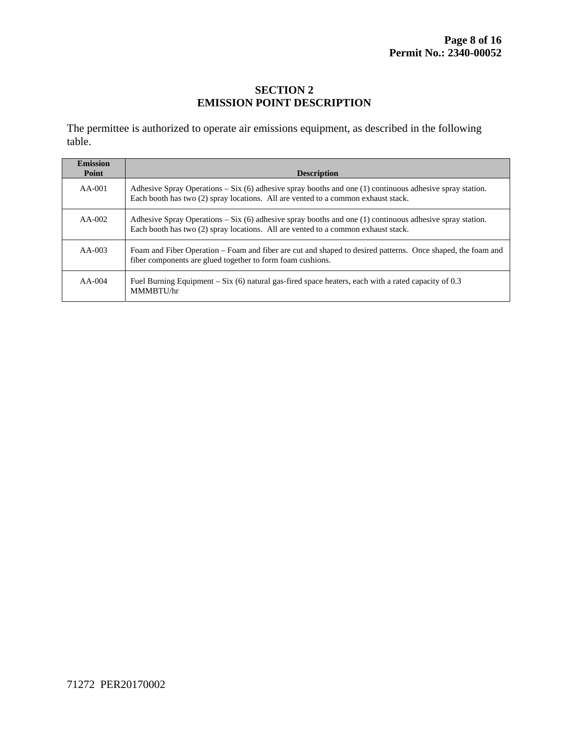## **SECTION 2 EMISSION POINT DESCRIPTION**

The permittee is authorized to operate air emissions equipment, as described in the following table.

| <b>Emission</b><br>Point | <b>Description</b>                                                                                                                                                                                |
|--------------------------|---------------------------------------------------------------------------------------------------------------------------------------------------------------------------------------------------|
| $AA-001$                 | Adhesive Spray Operations – Six $(6)$ adhesive spray booths and one (1) continuous adhesive spray station.<br>Each booth has two (2) spray locations. All are vented to a common exhaust stack.   |
| $AA-002$                 | Adhesive Spray Operations – Six $(6)$ adhesive spray booths and one $(1)$ continuous adhesive spray station.<br>Each booth has two (2) spray locations. All are vented to a common exhaust stack. |
| $AA-003$                 | Foam and Fiber Operation – Foam and fiber are cut and shaped to desired patterns. Once shaped, the foam and<br>fiber components are glued together to form foam cushions.                         |
| $AA-004$                 | Fuel Burning Equipment – Six (6) natural gas-fired space heaters, each with a rated capacity of 0.3<br>MMMRTU/hr                                                                                  |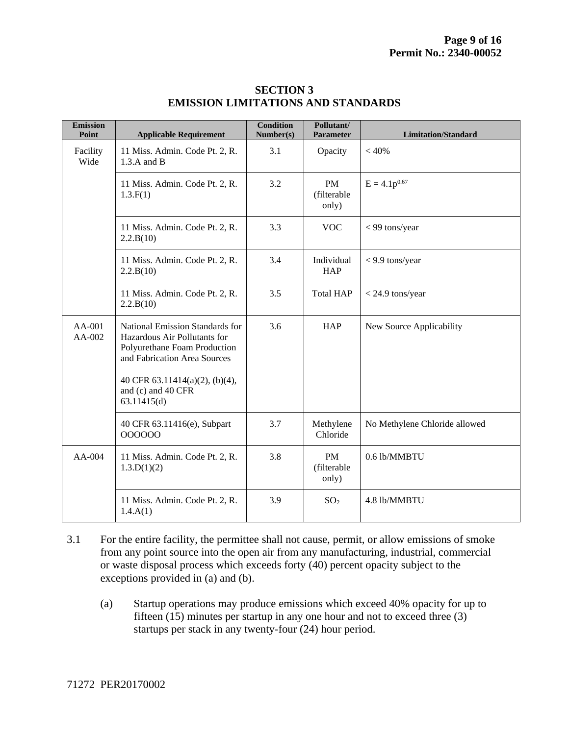| <b>Emission</b><br>Point | <b>Applicable Requirement</b>                                                                                                   | <b>Condition</b><br>Number(s) | Pollutant/<br>Parameter           | <b>Limitation/Standard</b>    |
|--------------------------|---------------------------------------------------------------------------------------------------------------------------------|-------------------------------|-----------------------------------|-------------------------------|
| Facility<br>Wide         | 11 Miss. Admin. Code Pt. 2, R.<br>$1.3.A$ and B                                                                                 | 3.1                           | Opacity                           | < 40%                         |
|                          | 11 Miss. Admin. Code Pt. 2, R.<br>1.3.F(1)                                                                                      | 3.2                           | PM<br>(filterable<br>only)        | $E = 4.1p^{0.67}$             |
|                          | 11 Miss. Admin. Code Pt. 2, R.<br>2.2.B(10)                                                                                     | 3.3                           | <b>VOC</b>                        | < 99 tons/year                |
|                          | 11 Miss. Admin. Code Pt. 2, R.<br>2.2.B(10)                                                                                     | 3.4                           | Individual<br><b>HAP</b>          | < 9.9 tons/year               |
|                          | 11 Miss. Admin. Code Pt. 2, R.<br>2.2.B(10)                                                                                     | 3.5                           | <b>Total HAP</b>                  | $<$ 24.9 tons/year            |
| AA-001<br>AA-002         | National Emission Standards for<br>Hazardous Air Pollutants for<br>Polyurethane Foam Production<br>and Fabrication Area Sources | 3.6                           | <b>HAP</b>                        | New Source Applicability      |
|                          | 40 CFR 63.11414(a)(2), (b)(4),<br>and (c) and 40 CFR<br>63.11415(d)                                                             |                               |                                   |                               |
|                          | 40 CFR 63.11416(e), Subpart<br>000000                                                                                           | 3.7                           | Methylene<br>Chloride             | No Methylene Chloride allowed |
| AA-004                   | 11 Miss. Admin. Code Pt. 2, R.<br>1.3.D(1)(2)                                                                                   | 3.8                           | <b>PM</b><br>(filterable<br>only) | 0.6 lb/MMBTU                  |
|                          | 11 Miss. Admin. Code Pt. 2, R.<br>1.4.A(1)                                                                                      | 3.9                           | SO <sub>2</sub>                   | 4.8 lb/MMBTU                  |

## **SECTION 3 EMISSION LIMITATIONS AND STANDARDS**

- 3.1 For the entire facility, the permittee shall not cause, permit, or allow emissions of smoke from any point source into the open air from any manufacturing, industrial, commercial or waste disposal process which exceeds forty (40) percent opacity subject to the exceptions provided in (a) and (b).
	- (a) Startup operations may produce emissions which exceed 40% opacity for up to fifteen (15) minutes per startup in any one hour and not to exceed three (3) startups per stack in any twenty-four (24) hour period.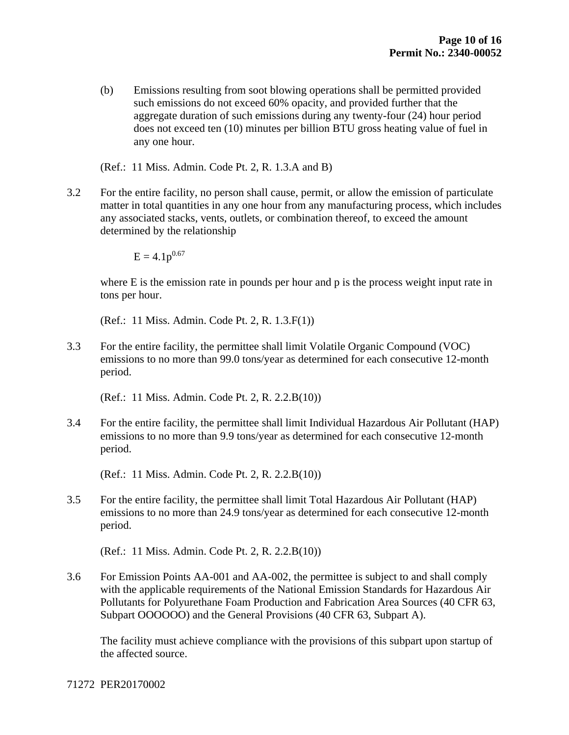(b) Emissions resulting from soot blowing operations shall be permitted provided such emissions do not exceed 60% opacity, and provided further that the aggregate duration of such emissions during any twenty-four (24) hour period does not exceed ten (10) minutes per billion BTU gross heating value of fuel in any one hour.

(Ref.: 11 Miss. Admin. Code Pt. 2, R. 1.3.A and B)

3.2 For the entire facility, no person shall cause, permit, or allow the emission of particulate matter in total quantities in any one hour from any manufacturing process, which includes any associated stacks, vents, outlets, or combination thereof, to exceed the amount determined by the relationship

 $E = 4.1p^{0.67}$ 

where E is the emission rate in pounds per hour and p is the process weight input rate in tons per hour.

(Ref.: 11 Miss. Admin. Code Pt. 2, R. 1.3.F(1))

3.3 For the entire facility, the permittee shall limit Volatile Organic Compound (VOC) emissions to no more than 99.0 tons/year as determined for each consecutive 12-month period.

(Ref.: 11 Miss. Admin. Code Pt. 2, R. 2.2.B(10))

3.4 For the entire facility, the permittee shall limit Individual Hazardous Air Pollutant (HAP) emissions to no more than 9.9 tons/year as determined for each consecutive 12-month period.

(Ref.: 11 Miss. Admin. Code Pt. 2, R. 2.2.B(10))

3.5 For the entire facility, the permittee shall limit Total Hazardous Air Pollutant (HAP) emissions to no more than 24.9 tons/year as determined for each consecutive 12-month period.

(Ref.: 11 Miss. Admin. Code Pt. 2, R. 2.2.B(10))

3.6 For Emission Points AA-001 and AA-002, the permittee is subject to and shall comply with the applicable requirements of the National Emission Standards for Hazardous Air Pollutants for Polyurethane Foam Production and Fabrication Area Sources (40 CFR 63, Subpart OOOOOO) and the General Provisions (40 CFR 63, Subpart A).

 The facility must achieve compliance with the provisions of this subpart upon startup of the affected source.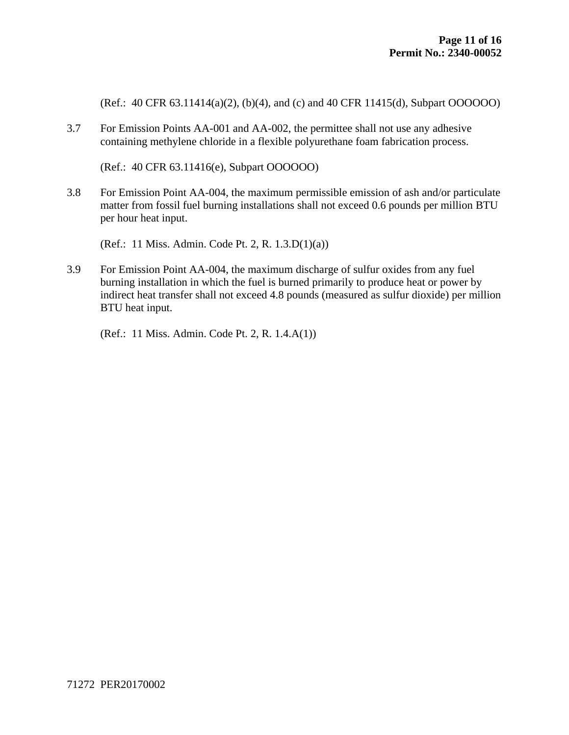(Ref.: 40 CFR 63.11414(a)(2), (b)(4), and (c) and 40 CFR 11415(d), Subpart OOOOOO)

3.7 For Emission Points AA-001 and AA-002, the permittee shall not use any adhesive containing methylene chloride in a flexible polyurethane foam fabrication process.

(Ref.: 40 CFR 63.11416(e), Subpart OOOOOO)

3.8 For Emission Point AA-004, the maximum permissible emission of ash and/or particulate matter from fossil fuel burning installations shall not exceed 0.6 pounds per million BTU per hour heat input.

(Ref.: 11 Miss. Admin. Code Pt. 2, R. 1.3.D(1)(a))

3.9 For Emission Point AA-004, the maximum discharge of sulfur oxides from any fuel burning installation in which the fuel is burned primarily to produce heat or power by indirect heat transfer shall not exceed 4.8 pounds (measured as sulfur dioxide) per million BTU heat input.

(Ref.: 11 Miss. Admin. Code Pt. 2, R. 1.4.A(1))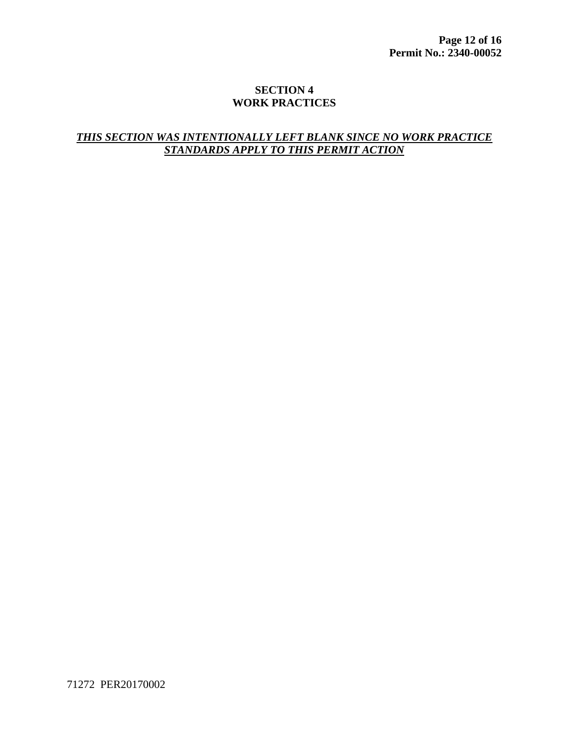## **SECTION 4 WORK PRACTICES**

# **THIS SECTION WAS INTENTIONALLY LEFT BLANK SINCE NO WORK PRACTICE** *STANDARDS APPLY TO THIS PERMIT ACTION*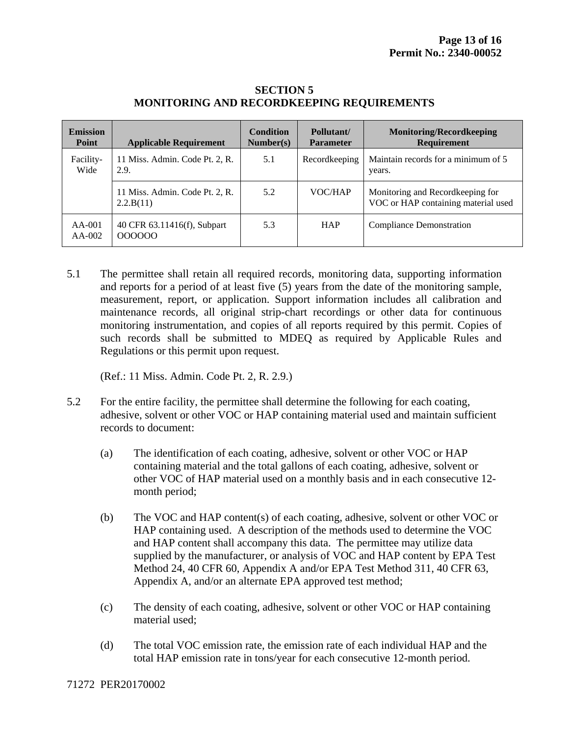| <b>Emission</b><br>Point | <b>Applicable Requirement</b>               | <b>Condition</b><br>Number(s) | Pollutant/<br><b>Parameter</b> | <b>Monitoring/Recordkeeping</b><br><b>Requirement</b>                    |
|--------------------------|---------------------------------------------|-------------------------------|--------------------------------|--------------------------------------------------------------------------|
| Facility-<br>Wide        | 11 Miss. Admin. Code Pt. 2, R.<br>2.9.      | 5.1                           | Recordkeeping                  | Maintain records for a minimum of 5<br>years.                            |
|                          | 11 Miss. Admin. Code Pt. 2, R.<br>2.2.B(11) | 5.2                           | VOC/HAP                        | Monitoring and Record keeping for<br>VOC or HAP containing material used |
| $AA-001$<br>$AA-002$     | 40 CFR 63.11416(f), Subpart<br>000000       | 5.3                           | <b>HAP</b>                     | <b>Compliance Demonstration</b>                                          |

#### **SECTION 5 MONITORING AND RECORDKEEPING REQUIREMENTS**

5.1 The permittee shall retain all required records, monitoring data, supporting information and reports for a period of at least five (5) years from the date of the monitoring sample, measurement, report, or application. Support information includes all calibration and maintenance records, all original strip-chart recordings or other data for continuous monitoring instrumentation, and copies of all reports required by this permit. Copies of such records shall be submitted to MDEQ as required by Applicable Rules and Regulations or this permit upon request.

(Ref.: 11 Miss. Admin. Code Pt. 2, R. 2.9.)

- 5.2 For the entire facility, the permittee shall determine the following for each coating, adhesive, solvent or other VOC or HAP containing material used and maintain sufficient records to document:
	- (a) The identification of each coating, adhesive, solvent or other VOC or HAP containing material and the total gallons of each coating, adhesive, solvent or other VOC of HAP material used on a monthly basis and in each consecutive 12 month period;
	- (b) The VOC and HAP content(s) of each coating, adhesive, solvent or other VOC or HAP containing used. A description of the methods used to determine the VOC and HAP content shall accompany this data. The permittee may utilize data supplied by the manufacturer, or analysis of VOC and HAP content by EPA Test Method 24, 40 CFR 60, Appendix A and/or EPA Test Method 311, 40 CFR 63, Appendix A, and/or an alternate EPA approved test method;
	- (c) The density of each coating, adhesive, solvent or other VOC or HAP containing material used;
	- (d) The total VOC emission rate, the emission rate of each individual HAP and the total HAP emission rate in tons/year for each consecutive 12-month period.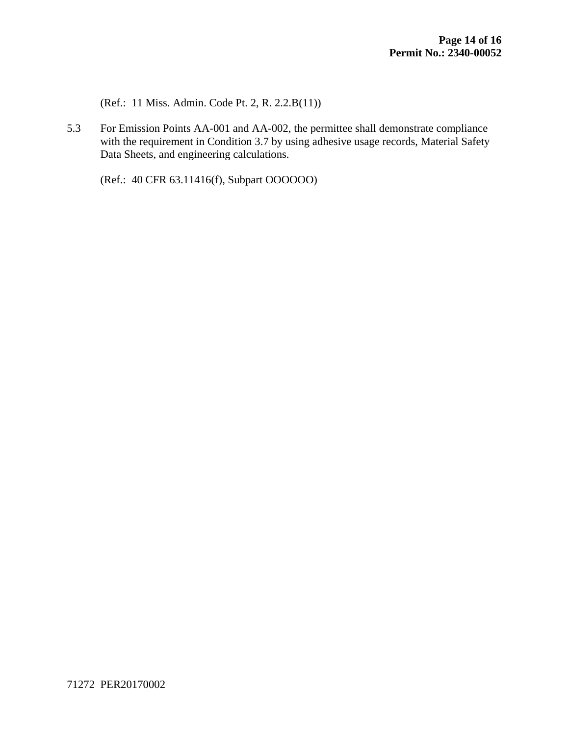(Ref.: 11 Miss. Admin. Code Pt. 2, R. 2.2.B(11))

5.3 For Emission Points AA-001 and AA-002, the permittee shall demonstrate compliance with the requirement in Condition 3.7 by using adhesive usage records, Material Safety Data Sheets, and engineering calculations.

(Ref.: 40 CFR 63.11416(f), Subpart OOOOOO)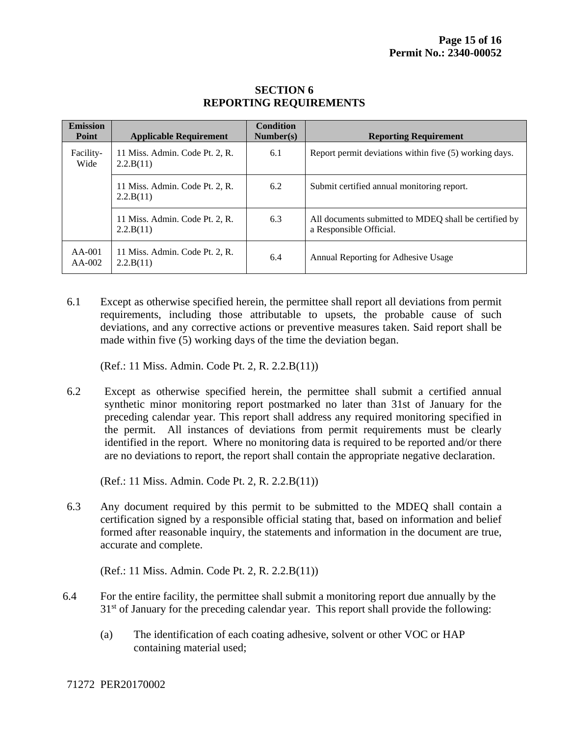| <b>Emission</b><br>Point | <b>Applicable Requirement</b>               | <b>Condition</b><br>Number(s) | <b>Reporting Requirement</b>                                                     |
|--------------------------|---------------------------------------------|-------------------------------|----------------------------------------------------------------------------------|
| Facility-<br>Wide        | 11 Miss. Admin. Code Pt. 2, R.<br>2.2.B(11) | 6.1                           | Report permit deviations within five (5) working days.                           |
|                          | 11 Miss. Admin. Code Pt. 2, R.<br>2.2.B(11) | 6.2                           | Submit certified annual monitoring report.                                       |
|                          | 11 Miss. Admin. Code Pt. 2, R.<br>2.2.B(11) | 6.3                           | All documents submitted to MDEO shall be certified by<br>a Responsible Official. |
| $AA-001$<br>$AA-002$     | 11 Miss. Admin. Code Pt. 2, R.<br>2.2.B(11) | 6.4                           | Annual Reporting for Adhesive Usage                                              |

## **SECTION 6 REPORTING REQUIREMENTS**

6.1 Except as otherwise specified herein, the permittee shall report all deviations from permit requirements, including those attributable to upsets, the probable cause of such deviations, and any corrective actions or preventive measures taken. Said report shall be made within five (5) working days of the time the deviation began.

(Ref.: 11 Miss. Admin. Code Pt. 2, R. 2.2.B(11))

6.2 Except as otherwise specified herein, the permittee shall submit a certified annual synthetic minor monitoring report postmarked no later than 31st of January for the preceding calendar year. This report shall address any required monitoring specified in the permit. All instances of deviations from permit requirements must be clearly identified in the report. Where no monitoring data is required to be reported and/or there are no deviations to report, the report shall contain the appropriate negative declaration.

(Ref.: 11 Miss. Admin. Code Pt. 2, R. 2.2.B(11))

6.3 Any document required by this permit to be submitted to the MDEQ shall contain a certification signed by a responsible official stating that, based on information and belief formed after reasonable inquiry, the statements and information in the document are true, accurate and complete.

(Ref.: 11 Miss. Admin. Code Pt. 2, R. 2.2.B(11))

- 6.4 For the entire facility, the permittee shall submit a monitoring report due annually by the  $31<sup>st</sup>$  of January for the preceding calendar year. This report shall provide the following:
	- (a) The identification of each coating adhesive, solvent or other VOC or HAP containing material used;